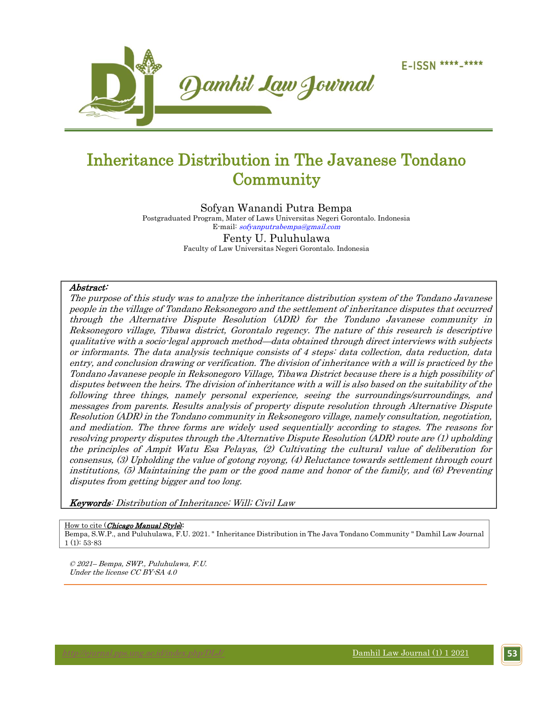

# Inheritance Distribution in The Javanese Tondano **Community**

Sofyan Wanandi Putra Bempa Postgraduated Program, Mater of Laws Universitas Negeri Gorontalo. Indonesia E-mail: [sofyanputrabempa@gmail.com](mailto:sofyanputrabempa@gmail.com) Fenty U. Puluhulawa

Faculty of Law Universitas Negeri Gorontalo. Indonesia

#### Abstract:

The purpose of this study was to analyze the inheritance distribution system of the Tondano Javanese people in the village of Tondano Reksonegoro and the settlement of inheritance disputes that occurred through the Alternative Dispute Resolution (ADR) for the Tondano Javanese community in Reksonegoro village, Tibawa district, Gorontalo regency. The nature of this research is descriptive qualitative with a socio-legal approach method—data obtained through direct interviews with subjects or informants. The data analysis technique consists of 4 steps: data collection, data reduction, data entry, and conclusion drawing or verification. The division of inheritance with a will is practiced by the Tondano Javanese people in Reksonegoro Village, Tibawa District because there is a high possibility of disputes between the heirs. The division of inheritance with a will is also based on the suitability of the following three things, namely personal experience, seeing the surroundings/surroundings, and messages from parents. Results analysis of property dispute resolution through Alternative Dispute Resolution (ADR) in the Tondano community in Reksonegoro village, namely consultation, negotiation, and mediation. The three forms are widely used sequentially according to stages. The reasons for resolving property disputes through the Alternative Dispute Resolution (ADR) route are (1) upholding the principles of Ampit Watu Esa Pelayas, (2) Cultivating the cultural value of deliberation for consensus, (3) Upholding the value of gotong royong, (4) Reluctance towards settlement through court institutions, (5) Maintaining the pam or the good name and honor of the family, and (6) Preventing disputes from getting bigger and too long.

Keywords: Distribution of Inheritance; Will; Civil Law

#### How to cite (Chicago Manual Style):

Bempa, S.W.P., and Puluhulawa, F.U. 2021. " Inheritance Distribution in The Java Tondano Community " Damhil Law Journal 1 (1): 53-83

© 2021– Bempa, SWP., Puluhulawa, F.U. Under the license CC BY-SA 4.0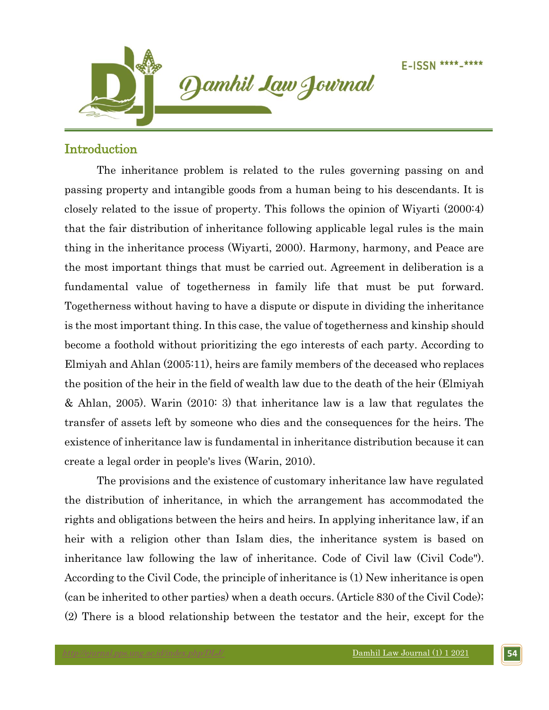

## Introduction

The inheritance problem is related to the rules governing passing on and passing property and intangible goods from a human being to his descendants. It is closely related to the issue of property. This follows the opinion of Wiyarti (2000:4) that the fair distribution of inheritance following applicable legal rules is the main thing in the inheritance process (Wiyarti, 2000). Harmony, harmony, and Peace are the most important things that must be carried out. Agreement in deliberation is a fundamental value of togetherness in family life that must be put forward. Togetherness without having to have a dispute or dispute in dividing the inheritance is the most important thing. In this case, the value of togetherness and kinship should become a foothold without prioritizing the ego interests of each party. According to Elmiyah and Ahlan (2005:11), heirs are family members of the deceased who replaces the position of the heir in the field of wealth law due to the death of the heir (Elmiyah & Ahlan, 2005). Warin (2010: 3) that inheritance law is a law that regulates the transfer of assets left by someone who dies and the consequences for the heirs. The existence of inheritance law is fundamental in inheritance distribution because it can create a legal order in people's lives (Warin, 2010).

The provisions and the existence of customary inheritance law have regulated the distribution of inheritance, in which the arrangement has accommodated the rights and obligations between the heirs and heirs. In applying inheritance law, if an heir with a religion other than Islam dies, the inheritance system is based on inheritance law following the law of inheritance. Code of Civil law (Civil Code"). According to the Civil Code, the principle of inheritance is (1) New inheritance is open (can be inherited to other parties) when a death occurs. (Article 830 of the Civil Code); (2) There is a blood relationship between the testator and the heir, except for the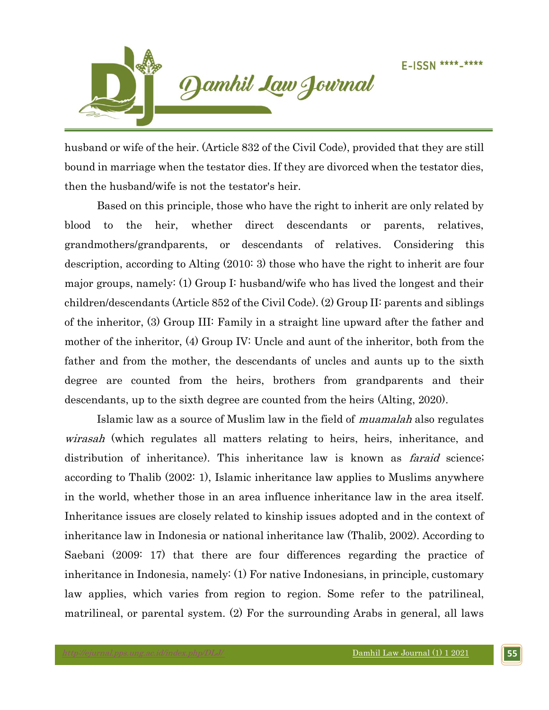

husband or wife of the heir. (Article 832 of the Civil Code), provided that they are still bound in marriage when the testator dies. If they are divorced when the testator dies, then the husband/wife is not the testator's heir.

Based on this principle, those who have the right to inherit are only related by blood to the heir, whether direct descendants or parents, relatives, grandmothers/grandparents, or descendants of relatives. Considering this description, according to Alting (2010: 3) those who have the right to inherit are four major groups, namely: (1) Group I: husband/wife who has lived the longest and their children/descendants (Article 852 of the Civil Code). (2) Group II: parents and siblings of the inheritor, (3) Group III: Family in a straight line upward after the father and mother of the inheritor, (4) Group IV: Uncle and aunt of the inheritor, both from the father and from the mother, the descendants of uncles and aunts up to the sixth degree are counted from the heirs, brothers from grandparents and their descendants, up to the sixth degree are counted from the heirs (Alting, 2020).

Islamic law as a source of Muslim law in the field of muamalah also regulates wirasah (which regulates all matters relating to heirs, heirs, inheritance, and distribution of inheritance). This inheritance law is known as *faraid* science; according to Thalib (2002: 1), Islamic inheritance law applies to Muslims anywhere in the world, whether those in an area influence inheritance law in the area itself. Inheritance issues are closely related to kinship issues adopted and in the context of inheritance law in Indonesia or national inheritance law (Thalib, 2002). According to Saebani (2009: 17) that there are four differences regarding the practice of inheritance in Indonesia, namely: (1) For native Indonesians, in principle, customary law applies, which varies from region to region. Some refer to the patrilineal, matrilineal, or parental system. (2) For the surrounding Arabs in general, all laws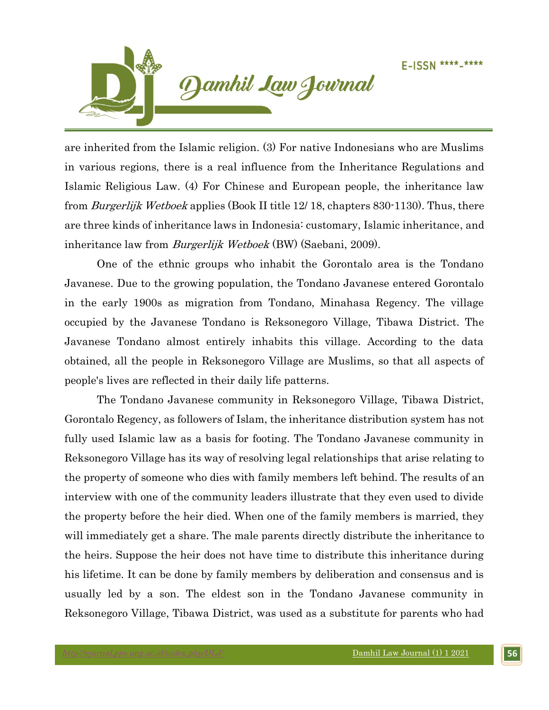

are inherited from the Islamic religion. (3) For native Indonesians who are Muslims in various regions, there is a real influence from the Inheritance Regulations and Islamic Religious Law. (4) For Chinese and European people, the inheritance law from *Burgerlijk Wetboek* applies (Book II title 12/18, chapters 830-1130). Thus, there are three kinds of inheritance laws in Indonesia: customary, Islamic inheritance, and inheritance law from *Burgerlijk Wetboek* (BW) (Saebani, 2009).

One of the ethnic groups who inhabit the Gorontalo area is the Tondano Javanese. Due to the growing population, the Tondano Javanese entered Gorontalo in the early 1900s as migration from Tondano, Minahasa Regency. The village occupied by the Javanese Tondano is Reksonegoro Village, Tibawa District. The Javanese Tondano almost entirely inhabits this village. According to the data obtained, all the people in Reksonegoro Village are Muslims, so that all aspects of people's lives are reflected in their daily life patterns.

The Tondano Javanese community in Reksonegoro Village, Tibawa District, Gorontalo Regency, as followers of Islam, the inheritance distribution system has not fully used Islamic law as a basis for footing. The Tondano Javanese community in Reksonegoro Village has its way of resolving legal relationships that arise relating to the property of someone who dies with family members left behind. The results of an interview with one of the community leaders illustrate that they even used to divide the property before the heir died. When one of the family members is married, they will immediately get a share. The male parents directly distribute the inheritance to the heirs. Suppose the heir does not have time to distribute this inheritance during his lifetime. It can be done by family members by deliberation and consensus and is usually led by a son. The eldest son in the Tondano Javanese community in Reksonegoro Village, Tibawa District, was used as a substitute for parents who had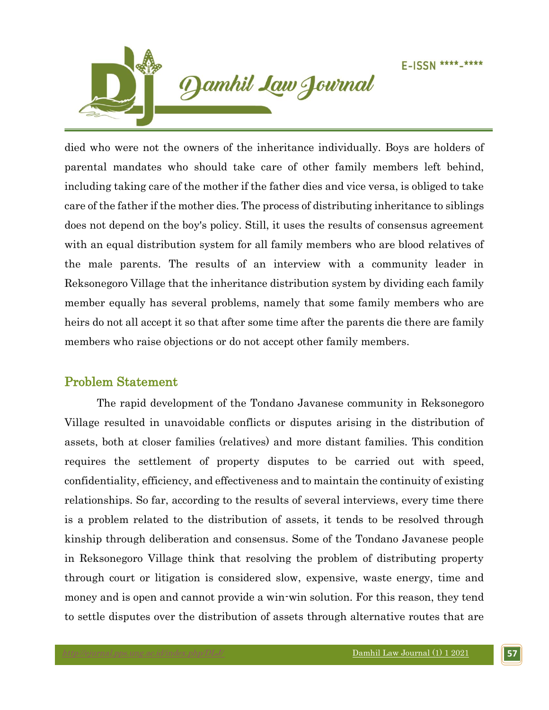

died who were not the owners of the inheritance individually. Boys are holders of parental mandates who should take care of other family members left behind, including taking care of the mother if the father dies and vice versa, is obliged to take care of the father if the mother dies. The process of distributing inheritance to siblings does not depend on the boy's policy. Still, it uses the results of consensus agreement with an equal distribution system for all family members who are blood relatives of the male parents. The results of an interview with a community leader in Reksonegoro Village that the inheritance distribution system by dividing each family member equally has several problems, namely that some family members who are heirs do not all accept it so that after some time after the parents die there are family members who raise objections or do not accept other family members.

## Problem Statement

The rapid development of the Tondano Javanese community in Reksonegoro Village resulted in unavoidable conflicts or disputes arising in the distribution of assets, both at closer families (relatives) and more distant families. This condition requires the settlement of property disputes to be carried out with speed, confidentiality, efficiency, and effectiveness and to maintain the continuity of existing relationships. So far, according to the results of several interviews, every time there is a problem related to the distribution of assets, it tends to be resolved through kinship through deliberation and consensus. Some of the Tondano Javanese people in Reksonegoro Village think that resolving the problem of distributing property through court or litigation is considered slow, expensive, waste energy, time and money and is open and cannot provide a win-win solution. For this reason, they tend to settle disputes over the distribution of assets through alternative routes that are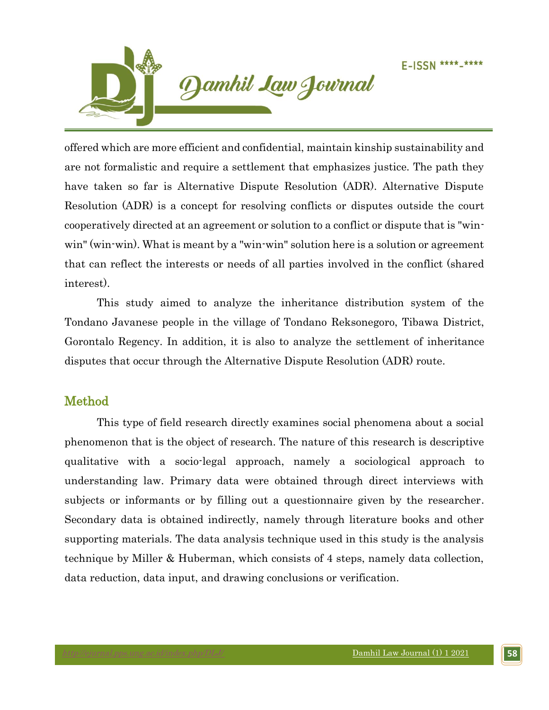

offered which are more efficient and confidential, maintain kinship sustainability and are not formalistic and require a settlement that emphasizes justice. The path they have taken so far is Alternative Dispute Resolution (ADR). Alternative Dispute Resolution (ADR) is a concept for resolving conflicts or disputes outside the court cooperatively directed at an agreement or solution to a conflict or dispute that is "winwin" (win-win). What is meant by a "win-win" solution here is a solution or agreement that can reflect the interests or needs of all parties involved in the conflict (shared interest).

This study aimed to analyze the inheritance distribution system of the Tondano Javanese people in the village of Tondano Reksonegoro, Tibawa District, Gorontalo Regency. In addition, it is also to analyze the settlement of inheritance disputes that occur through the Alternative Dispute Resolution (ADR) route.

## Method

This type of field research directly examines social phenomena about a social phenomenon that is the object of research. The nature of this research is descriptive qualitative with a socio-legal approach, namely a sociological approach to understanding law. Primary data were obtained through direct interviews with subjects or informants or by filling out a questionnaire given by the researcher. Secondary data is obtained indirectly, namely through literature books and other supporting materials. The data analysis technique used in this study is the analysis technique by Miller & Huberman, which consists of 4 steps, namely data collection, data reduction, data input, and drawing conclusions or verification.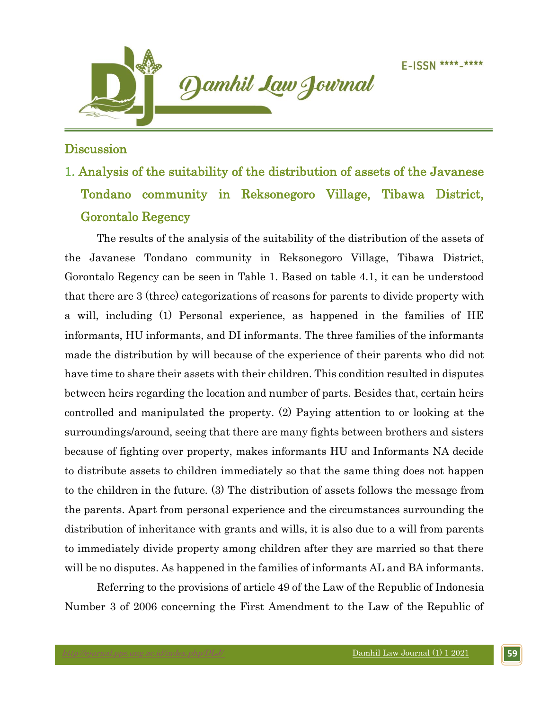

## **Discussion**

# 1. Analysis of the suitability of the distribution of assets of the Javanese Tondano community in Reksonegoro Village, Tibawa District, Gorontalo Regency

The results of the analysis of the suitability of the distribution of the assets of the Javanese Tondano community in Reksonegoro Village, Tibawa District, Gorontalo Regency can be seen in Table 1. Based on table 4.1, it can be understood that there are 3 (three) categorizations of reasons for parents to divide property with a will, including (1) Personal experience, as happened in the families of HE informants, HU informants, and DI informants. The three families of the informants made the distribution by will because of the experience of their parents who did not have time to share their assets with their children. This condition resulted in disputes between heirs regarding the location and number of parts. Besides that, certain heirs controlled and manipulated the property. (2) Paying attention to or looking at the surroundings/around, seeing that there are many fights between brothers and sisters because of fighting over property, makes informants HU and Informants NA decide to distribute assets to children immediately so that the same thing does not happen to the children in the future. (3) The distribution of assets follows the message from the parents. Apart from personal experience and the circumstances surrounding the distribution of inheritance with grants and wills, it is also due to a will from parents to immediately divide property among children after they are married so that there will be no disputes. As happened in the families of informants AL and BA informants.

Referring to the provisions of article 49 of the Law of the Republic of Indonesia Number 3 of 2006 concerning the First Amendment to the Law of the Republic of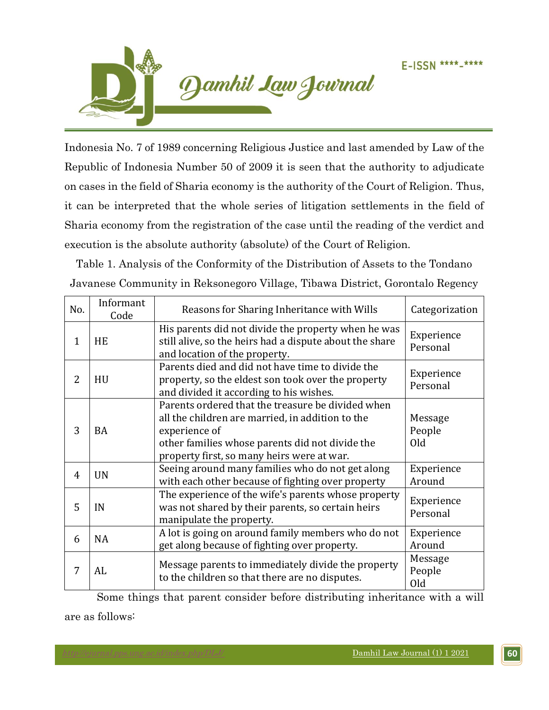

Indonesia No. 7 of 1989 concerning Religious Justice and last amended by Law of the Republic of Indonesia Number 50 of 2009 it is seen that the authority to adjudicate on cases in the field of Sharia economy is the authority of the Court of Religion. Thus, it can be interpreted that the whole series of litigation settlements in the field of Sharia economy from the registration of the case until the reading of the verdict and execution is the absolute authority (absolute) of the Court of Religion.

Table 1. Analysis of the Conformity of the Distribution of Assets to the Tondano Javanese Community in Reksonegoro Village, Tibawa District, Gorontalo Regency

| No.            | Informant<br>Code | Reasons for Sharing Inheritance with Wills                                                                                                                                                                              | Categorization           |
|----------------|-------------------|-------------------------------------------------------------------------------------------------------------------------------------------------------------------------------------------------------------------------|--------------------------|
| 1              | <b>HE</b>         | His parents did not divide the property when he was<br>still alive, so the heirs had a dispute about the share<br>and location of the property.                                                                         | Experience<br>Personal   |
| $\overline{2}$ | HU                | Parents died and did not have time to divide the<br>property, so the eldest son took over the property<br>and divided it according to his wishes.                                                                       | Experience<br>Personal   |
| 3              | <b>BA</b>         | Parents ordered that the treasure be divided when<br>all the children are married, in addition to the<br>experience of<br>other families whose parents did not divide the<br>property first, so many heirs were at war. | Message<br>People<br>Old |
| 4              | <b>UN</b>         | Seeing around many families who do not get along<br>with each other because of fighting over property                                                                                                                   | Experience<br>Around     |
| 5              | IN                | The experience of the wife's parents whose property<br>was not shared by their parents, so certain heirs<br>manipulate the property.                                                                                    | Experience<br>Personal   |
| 6              | <b>NA</b>         | A lot is going on around family members who do not<br>get along because of fighting over property.                                                                                                                      | Experience<br>Around     |
| 7              | AL                | Message parents to immediately divide the property<br>to the children so that there are no disputes.                                                                                                                    | Message<br>People<br>Old |

Some things that parent consider before distributing inheritance with a will are as follows: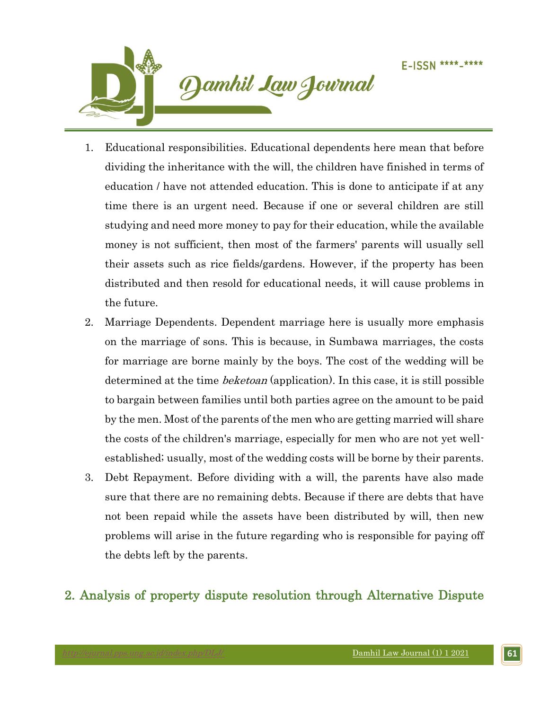

- 1. Educational responsibilities. Educational dependents here mean that before dividing the inheritance with the will, the children have finished in terms of education / have not attended education. This is done to anticipate if at any time there is an urgent need. Because if one or several children are still studying and need more money to pay for their education, while the available money is not sufficient, then most of the farmers' parents will usually sell their assets such as rice fields/gardens. However, if the property has been distributed and then resold for educational needs, it will cause problems in the future.
- 2. Marriage Dependents. Dependent marriage here is usually more emphasis on the marriage of sons. This is because, in Sumbawa marriages, the costs for marriage are borne mainly by the boys. The cost of the wedding will be determined at the time *beketoan* (application). In this case, it is still possible to bargain between families until both parties agree on the amount to be paid by the men. Most of the parents of the men who are getting married will share the costs of the children's marriage, especially for men who are not yet wellestablished; usually, most of the wedding costs will be borne by their parents.
- 3. Debt Repayment. Before dividing with a will, the parents have also made sure that there are no remaining debts. Because if there are debts that have not been repaid while the assets have been distributed by will, then new problems will arise in the future regarding who is responsible for paying off the debts left by the parents.

## 2. Analysis of property dispute resolution through Alternative Dispute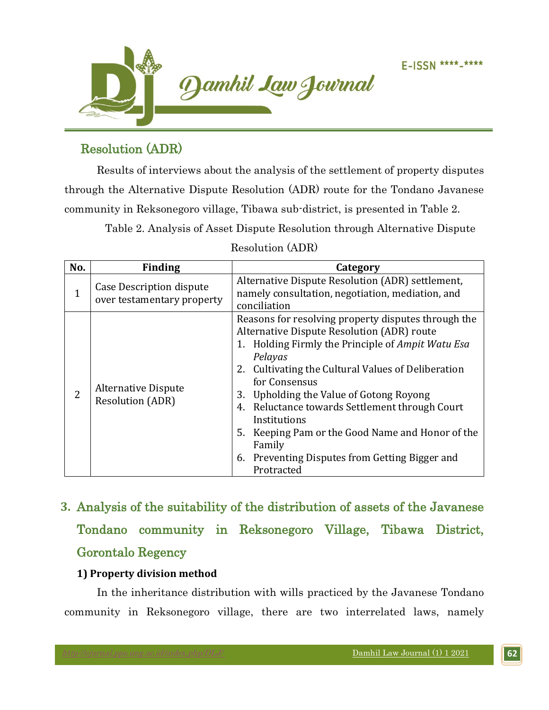

# Resolution (ADR)

Results of interviews about the analysis of the settlement of property disputes through the Alternative Dispute Resolution (ADR) route for the Tondano Javanese community in Reksonegoro village, Tibawa sub-district, is presented in Table 2.

Table 2. Analysis of Asset Dispute Resolution through Alternative Dispute

| No.          | <b>Finding</b>                                         | Category                                                                                                                                                                                                                                                                                                                                                                                                                                                                            |
|--------------|--------------------------------------------------------|-------------------------------------------------------------------------------------------------------------------------------------------------------------------------------------------------------------------------------------------------------------------------------------------------------------------------------------------------------------------------------------------------------------------------------------------------------------------------------------|
| $\mathbf{1}$ | Case Description dispute<br>over testamentary property | Alternative Dispute Resolution (ADR) settlement,<br>namely consultation, negotiation, mediation, and<br>conciliation                                                                                                                                                                                                                                                                                                                                                                |
| 2            | <b>Alternative Dispute</b><br><b>Resolution (ADR)</b>  | Reasons for resolving property disputes through the<br>Alternative Dispute Resolution (ADR) route<br>1. Holding Firmly the Principle of Ampit Watu Esa<br>Pelayas<br>2. Cultivating the Cultural Values of Deliberation<br>for Consensus<br>3. Upholding the Value of Gotong Royong<br>4. Reluctance towards Settlement through Court<br>Institutions<br>5. Keeping Pam or the Good Name and Honor of the<br>Family<br>6. Preventing Disputes from Getting Bigger and<br>Protracted |

Resolution (ADR)

**3.** Analysis of the suitability of the distribution of assets of the Javanese Tondano community in Reksonegoro Village, Tibawa District, Gorontalo Regency

## **1) Property division method**

In the inheritance distribution with wills practiced by the Javanese Tondano community in Reksonegoro village, there are two interrelated laws, namely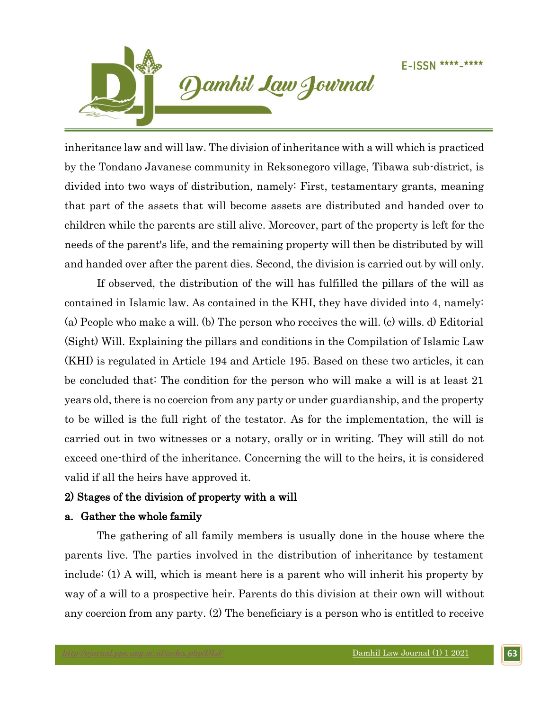

inheritance law and will law. The division of inheritance with a will which is practiced by the Tondano Javanese community in Reksonegoro village, Tibawa sub-district, is divided into two ways of distribution, namely: First, testamentary grants, meaning that part of the assets that will become assets are distributed and handed over to children while the parents are still alive. Moreover, part of the property is left for the needs of the parent's life, and the remaining property will then be distributed by will and handed over after the parent dies. Second, the division is carried out by will only.

If observed, the distribution of the will has fulfilled the pillars of the will as contained in Islamic law. As contained in the KHI, they have divided into 4, namely: (a) People who make a will. (b) The person who receives the will. (c) wills. d) Editorial (Sight) Will. Explaining the pillars and conditions in the Compilation of Islamic Law (KHI) is regulated in Article 194 and Article 195. Based on these two articles, it can be concluded that: The condition for the person who will make a will is at least 21 years old, there is no coercion from any party or under guardianship, and the property to be willed is the full right of the testator. As for the implementation, the will is carried out in two witnesses or a notary, orally or in writing. They will still do not exceed one-third of the inheritance. Concerning the will to the heirs, it is considered valid if all the heirs have approved it.

## 2) Stages of the division of property with a will

## a. Gather the whole family

The gathering of all family members is usually done in the house where the parents live. The parties involved in the distribution of inheritance by testament include: (1) A will, which is meant here is a parent who will inherit his property by way of a will to a prospective heir. Parents do this division at their own will without any coercion from any party. (2) The beneficiary is a person who is entitled to receive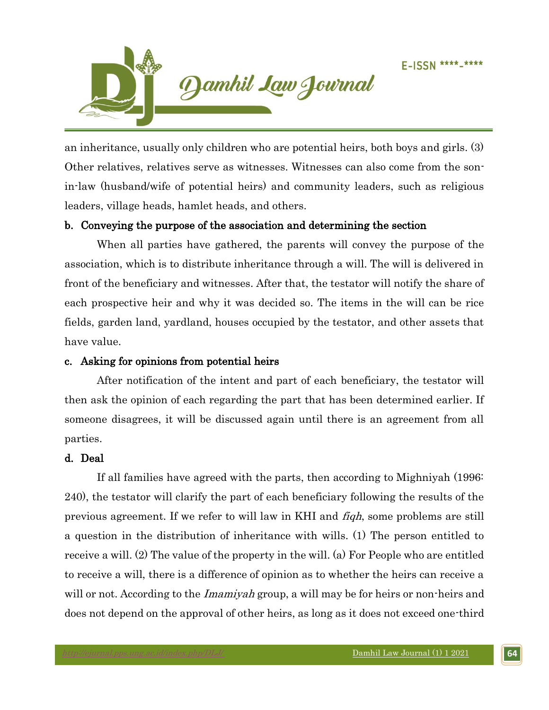

an inheritance, usually only children who are potential heirs, both boys and girls. (3) Other relatives, relatives serve as witnesses. Witnesses can also come from the sonin-law (husband/wife of potential heirs) and community leaders, such as religious leaders, village heads, hamlet heads, and others.

## b. Conveying the purpose of the association and determining the section

When all parties have gathered, the parents will convey the purpose of the association, which is to distribute inheritance through a will. The will is delivered in front of the beneficiary and witnesses. After that, the testator will notify the share of each prospective heir and why it was decided so. The items in the will can be rice fields, garden land, yardland, houses occupied by the testator, and other assets that have value.

## c. Asking for opinions from potential heirs

After notification of the intent and part of each beneficiary, the testator will then ask the opinion of each regarding the part that has been determined earlier. If someone disagrees, it will be discussed again until there is an agreement from all parties.

## d. Deal

If all families have agreed with the parts, then according to Mighniyah (1996: 240), the testator will clarify the part of each beneficiary following the results of the previous agreement. If we refer to will law in KHI and fiqh, some problems are still a question in the distribution of inheritance with wills. (1) The person entitled to receive a will. (2) The value of the property in the will. (a) For People who are entitled to receive a will, there is a difference of opinion as to whether the heirs can receive a will or not. According to the *Imamiyah* group, a will may be for heirs or non-heirs and does not depend on the approval of other heirs, as long as it does not exceed one-third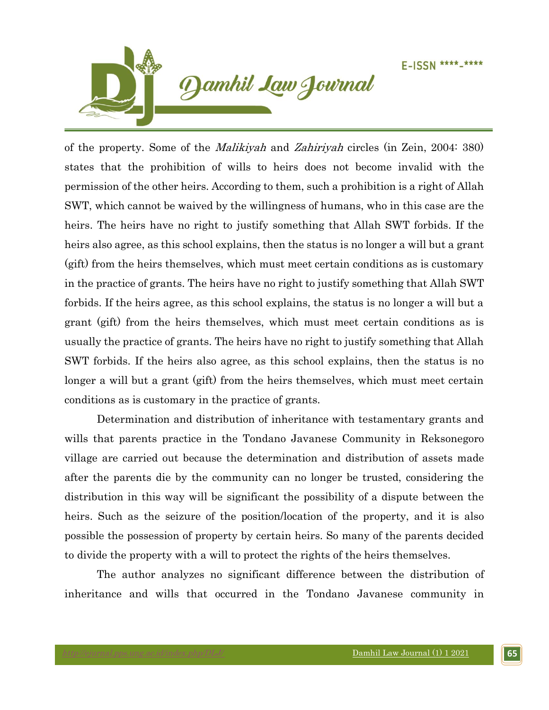

of the property. Some of the Malikiyah and Zahiriyah circles (in Zein, 2004: 380) states that the prohibition of wills to heirs does not become invalid with the permission of the other heirs. According to them, such a prohibition is a right of Allah SWT, which cannot be waived by the willingness of humans, who in this case are the heirs. The heirs have no right to justify something that Allah SWT forbids. If the heirs also agree, as this school explains, then the status is no longer a will but a grant (gift) from the heirs themselves, which must meet certain conditions as is customary in the practice of grants. The heirs have no right to justify something that Allah SWT forbids. If the heirs agree, as this school explains, the status is no longer a will but a grant (gift) from the heirs themselves, which must meet certain conditions as is usually the practice of grants. The heirs have no right to justify something that Allah SWT forbids. If the heirs also agree, as this school explains, then the status is no longer a will but a grant (gift) from the heirs themselves, which must meet certain conditions as is customary in the practice of grants.

Determination and distribution of inheritance with testamentary grants and wills that parents practice in the Tondano Javanese Community in Reksonegoro village are carried out because the determination and distribution of assets made after the parents die by the community can no longer be trusted, considering the distribution in this way will be significant the possibility of a dispute between the heirs. Such as the seizure of the position/location of the property, and it is also possible the possession of property by certain heirs. So many of the parents decided to divide the property with a will to protect the rights of the heirs themselves.

The author analyzes no significant difference between the distribution of inheritance and wills that occurred in the Tondano Javanese community in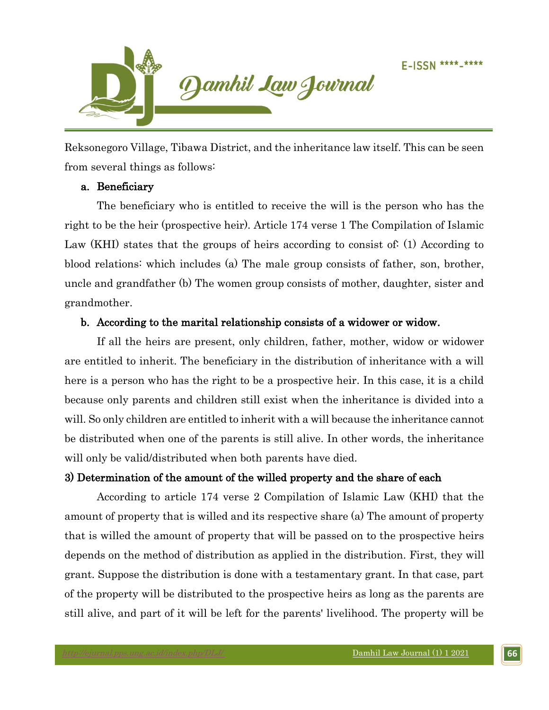

Reksonegoro Village, Tibawa District, and the inheritance law itself. This can be seen from several things as follows:

## a. Beneficiary

The beneficiary who is entitled to receive the will is the person who has the right to be the heir (prospective heir). Article 174 verse 1 The Compilation of Islamic Law (KHI) states that the groups of heirs according to consist of: (1) According to blood relations: which includes (a) The male group consists of father, son, brother, uncle and grandfather (b) The women group consists of mother, daughter, sister and grandmother.

## b. According to the marital relationship consists of a widower or widow.

If all the heirs are present, only children, father, mother, widow or widower are entitled to inherit. The beneficiary in the distribution of inheritance with a will here is a person who has the right to be a prospective heir. In this case, it is a child because only parents and children still exist when the inheritance is divided into a will. So only children are entitled to inherit with a will because the inheritance cannot be distributed when one of the parents is still alive. In other words, the inheritance will only be valid/distributed when both parents have died.

## 3) Determination of the amount of the willed property and the share of each

According to article 174 verse 2 Compilation of Islamic Law (KHI) that the amount of property that is willed and its respective share (a) The amount of property that is willed the amount of property that will be passed on to the prospective heirs depends on the method of distribution as applied in the distribution. First, they will grant. Suppose the distribution is done with a testamentary grant. In that case, part of the property will be distributed to the prospective heirs as long as the parents are still alive, and part of it will be left for the parents' livelihood. The property will be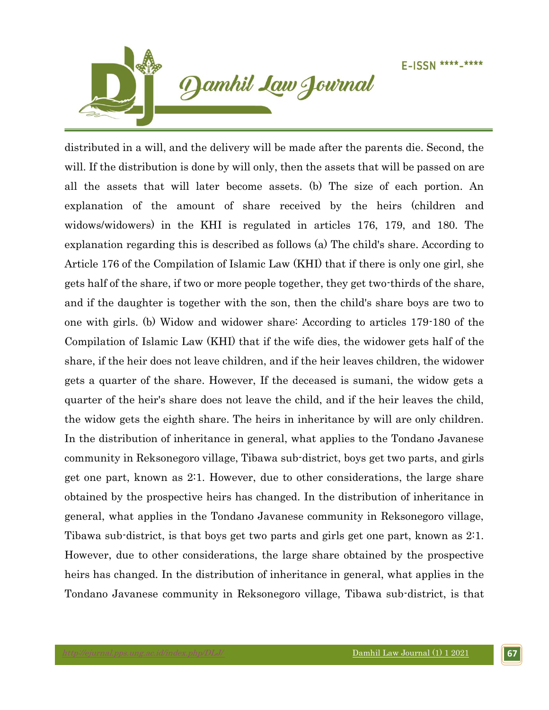

distributed in a will, and the delivery will be made after the parents die. Second, the will. If the distribution is done by will only, then the assets that will be passed on are all the assets that will later become assets. (b) The size of each portion. An explanation of the amount of share received by the heirs (children and widows/widowers) in the KHI is regulated in articles 176, 179, and 180. The explanation regarding this is described as follows (a) The child's share. According to Article 176 of the Compilation of Islamic Law (KHI) that if there is only one girl, she gets half of the share, if two or more people together, they get two-thirds of the share, and if the daughter is together with the son, then the child's share boys are two to one with girls. (b) Widow and widower share: According to articles 179-180 of the Compilation of Islamic Law (KHI) that if the wife dies, the widower gets half of the share, if the heir does not leave children, and if the heir leaves children, the widower gets a quarter of the share. However, If the deceased is sumani, the widow gets a quarter of the heir's share does not leave the child, and if the heir leaves the child, the widow gets the eighth share. The heirs in inheritance by will are only children. In the distribution of inheritance in general, what applies to the Tondano Javanese community in Reksonegoro village, Tibawa sub-district, boys get two parts, and girls get one part, known as 2:1. However, due to other considerations, the large share obtained by the prospective heirs has changed. In the distribution of inheritance in general, what applies in the Tondano Javanese community in Reksonegoro village, Tibawa sub-district, is that boys get two parts and girls get one part, known as 2:1. However, due to other considerations, the large share obtained by the prospective heirs has changed. In the distribution of inheritance in general, what applies in the Tondano Javanese community in Reksonegoro village, Tibawa sub-district, is that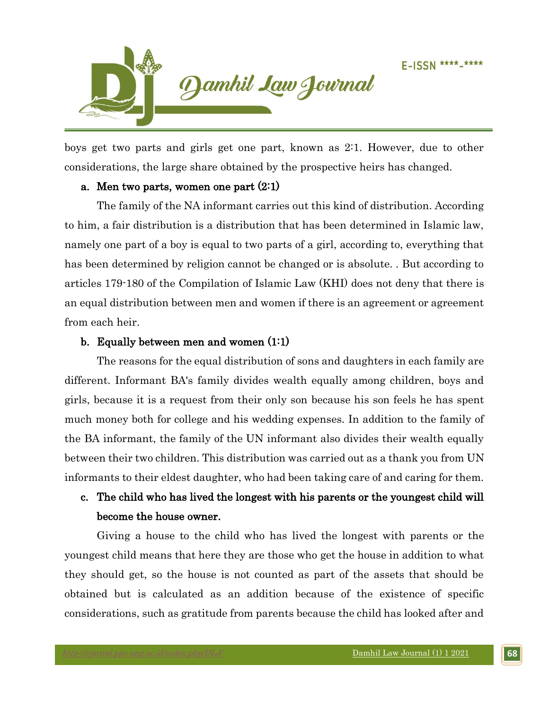

boys get two parts and girls get one part, known as 2:1. However, due to other considerations, the large share obtained by the prospective heirs has changed.

#### a. Men two parts, women one part (2:1)

The family of the NA informant carries out this kind of distribution. According to him, a fair distribution is a distribution that has been determined in Islamic law, namely one part of a boy is equal to two parts of a girl, according to, everything that has been determined by religion cannot be changed or is absolute. . But according to articles 179-180 of the Compilation of Islamic Law (KHI) does not deny that there is an equal distribution between men and women if there is an agreement or agreement from each heir.

#### b. Equally between men and women (1:1)

The reasons for the equal distribution of sons and daughters in each family are different. Informant BA's family divides wealth equally among children, boys and girls, because it is a request from their only son because his son feels he has spent much money both for college and his wedding expenses. In addition to the family of the BA informant, the family of the UN informant also divides their wealth equally between their two children. This distribution was carried out as a thank you from UN informants to their eldest daughter, who had been taking care of and caring for them.

# c. The child who has lived the longest with his parents or the youngest child will become the house owner.

Giving a house to the child who has lived the longest with parents or the youngest child means that here they are those who get the house in addition to what they should get, so the house is not counted as part of the assets that should be obtained but is calculated as an addition because of the existence of specific considerations, such as gratitude from parents because the child has looked after and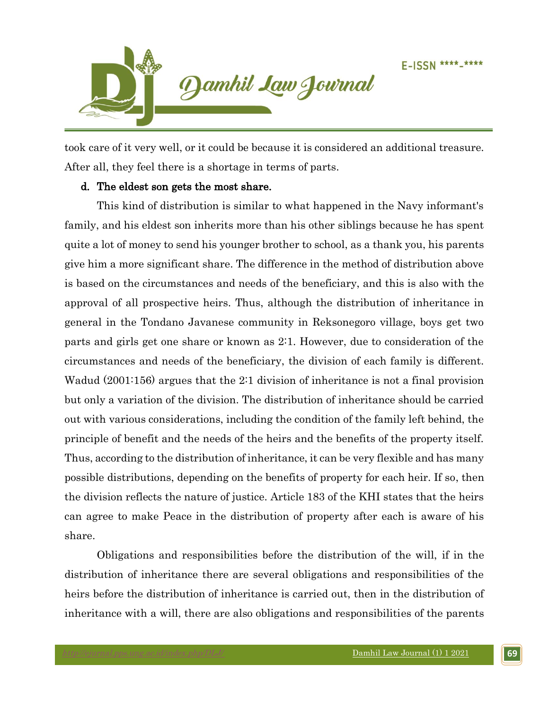

took care of it very well, or it could be because it is considered an additional treasure. After all, they feel there is a shortage in terms of parts.

## d. The eldest son gets the most share.

This kind of distribution is similar to what happened in the Navy informant's family, and his eldest son inherits more than his other siblings because he has spent quite a lot of money to send his younger brother to school, as a thank you, his parents give him a more significant share. The difference in the method of distribution above is based on the circumstances and needs of the beneficiary, and this is also with the approval of all prospective heirs. Thus, although the distribution of inheritance in general in the Tondano Javanese community in Reksonegoro village, boys get two parts and girls get one share or known as 2:1. However, due to consideration of the circumstances and needs of the beneficiary, the division of each family is different. Wadud (2001:156) argues that the 2:1 division of inheritance is not a final provision but only a variation of the division. The distribution of inheritance should be carried out with various considerations, including the condition of the family left behind, the principle of benefit and the needs of the heirs and the benefits of the property itself. Thus, according to the distribution of inheritance, it can be very flexible and has many possible distributions, depending on the benefits of property for each heir. If so, then the division reflects the nature of justice. Article 183 of the KHI states that the heirs can agree to make Peace in the distribution of property after each is aware of his share.

Obligations and responsibilities before the distribution of the will, if in the distribution of inheritance there are several obligations and responsibilities of the heirs before the distribution of inheritance is carried out, then in the distribution of inheritance with a will, there are also obligations and responsibilities of the parents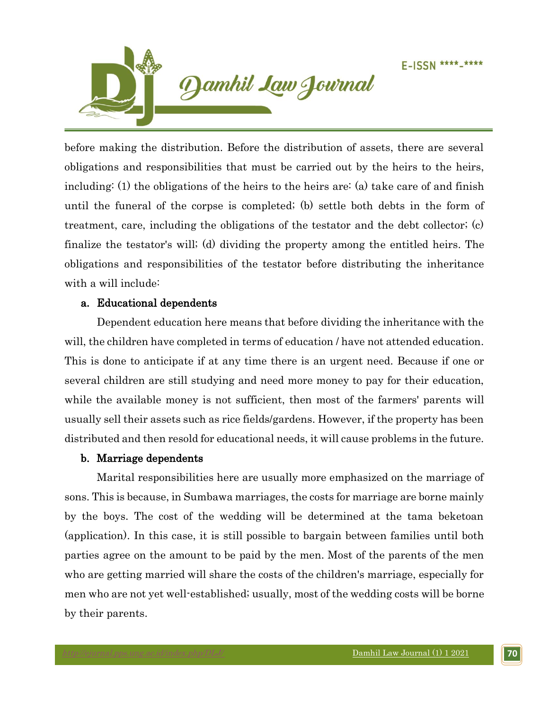

before making the distribution. Before the distribution of assets, there are several obligations and responsibilities that must be carried out by the heirs to the heirs, including: (1) the obligations of the heirs to the heirs are: (a) take care of and finish until the funeral of the corpse is completed; (b) settle both debts in the form of treatment, care, including the obligations of the testator and the debt collector; (c) finalize the testator's will; (d) dividing the property among the entitled heirs. The obligations and responsibilities of the testator before distributing the inheritance with a will include:

## a. Educational dependents

Dependent education here means that before dividing the inheritance with the will, the children have completed in terms of education / have not attended education. This is done to anticipate if at any time there is an urgent need. Because if one or several children are still studying and need more money to pay for their education, while the available money is not sufficient, then most of the farmers' parents will usually sell their assets such as rice fields/gardens. However, if the property has been distributed and then resold for educational needs, it will cause problems in the future.

## b. Marriage dependents

Marital responsibilities here are usually more emphasized on the marriage of sons. This is because, in Sumbawa marriages, the costs for marriage are borne mainly by the boys. The cost of the wedding will be determined at the tama beketoan (application). In this case, it is still possible to bargain between families until both parties agree on the amount to be paid by the men. Most of the parents of the men who are getting married will share the costs of the children's marriage, especially for men who are not yet well-established; usually, most of the wedding costs will be borne by their parents.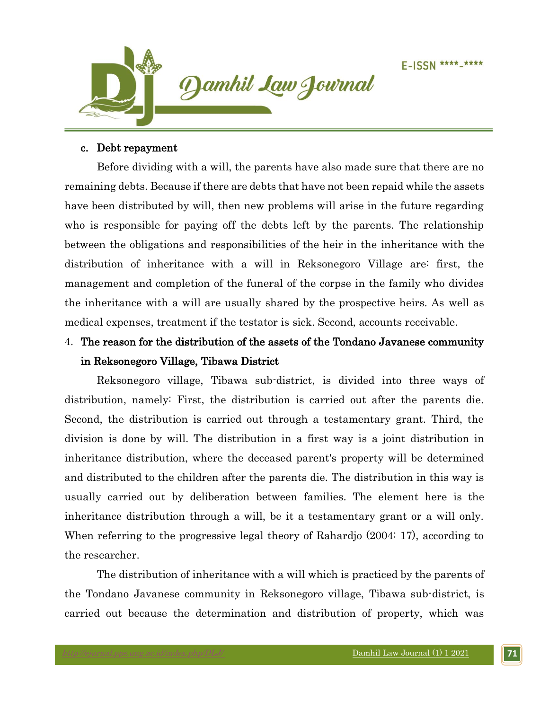

#### c. Debt repayment

Before dividing with a will, the parents have also made sure that there are no remaining debts. Because if there are debts that have not been repaid while the assets have been distributed by will, then new problems will arise in the future regarding who is responsible for paying off the debts left by the parents. The relationship between the obligations and responsibilities of the heir in the inheritance with the distribution of inheritance with a will in Reksonegoro Village are: first, the management and completion of the funeral of the corpse in the family who divides the inheritance with a will are usually shared by the prospective heirs. As well as medical expenses, treatment if the testator is sick. Second, accounts receivable.

# 4. The reason for the distribution of the assets of the Tondano Javanese community in Reksonegoro Village, Tibawa District

Reksonegoro village, Tibawa sub-district, is divided into three ways of distribution, namely: First, the distribution is carried out after the parents die. Second, the distribution is carried out through a testamentary grant. Third, the division is done by will. The distribution in a first way is a joint distribution in inheritance distribution, where the deceased parent's property will be determined and distributed to the children after the parents die. The distribution in this way is usually carried out by deliberation between families. The element here is the inheritance distribution through a will, be it a testamentary grant or a will only. When referring to the progressive legal theory of Rahardjo (2004: 17), according to the researcher.

The distribution of inheritance with a will which is practiced by the parents of the Tondano Javanese community in Reksonegoro village, Tibawa sub-district, is carried out because the determination and distribution of property, which was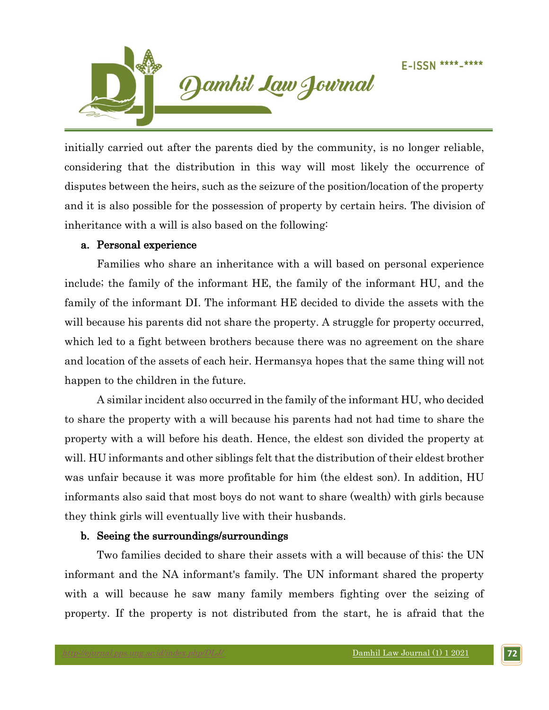

initially carried out after the parents died by the community, is no longer reliable, considering that the distribution in this way will most likely the occurrence of disputes between the heirs, such as the seizure of the position/location of the property and it is also possible for the possession of property by certain heirs. The division of inheritance with a will is also based on the following:

## a. Personal experience

Families who share an inheritance with a will based on personal experience include; the family of the informant HE, the family of the informant HU, and the family of the informant DI. The informant HE decided to divide the assets with the will because his parents did not share the property. A struggle for property occurred, which led to a fight between brothers because there was no agreement on the share and location of the assets of each heir. Hermansya hopes that the same thing will not happen to the children in the future.

A similar incident also occurred in the family of the informant HU, who decided to share the property with a will because his parents had not had time to share the property with a will before his death. Hence, the eldest son divided the property at will. HU informants and other siblings felt that the distribution of their eldest brother was unfair because it was more profitable for him (the eldest son). In addition, HU informants also said that most boys do not want to share (wealth) with girls because they think girls will eventually live with their husbands.

## b. Seeing the surroundings/surroundings

Two families decided to share their assets with a will because of this: the UN informant and the NA informant's family. The UN informant shared the property with a will because he saw many family members fighting over the seizing of property. If the property is not distributed from the start, he is afraid that the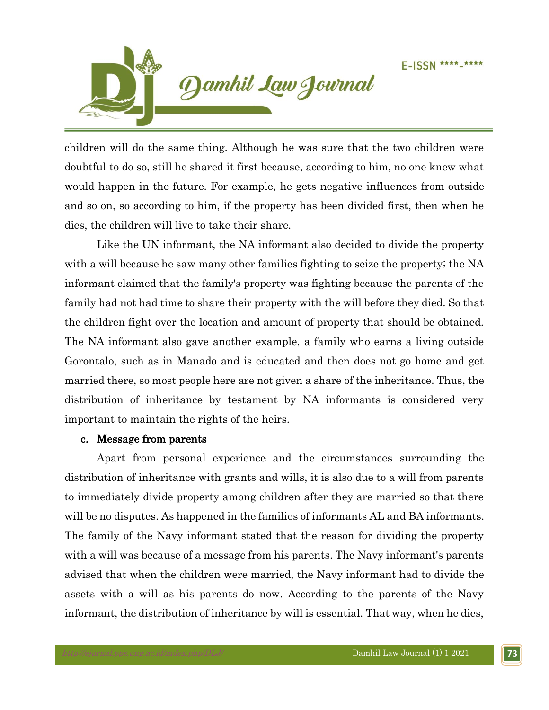

children will do the same thing. Although he was sure that the two children were doubtful to do so, still he shared it first because, according to him, no one knew what would happen in the future. For example, he gets negative influences from outside and so on, so according to him, if the property has been divided first, then when he dies, the children will live to take their share.

Like the UN informant, the NA informant also decided to divide the property with a will because he saw many other families fighting to seize the property; the NA informant claimed that the family's property was fighting because the parents of the family had not had time to share their property with the will before they died. So that the children fight over the location and amount of property that should be obtained. The NA informant also gave another example, a family who earns a living outside Gorontalo, such as in Manado and is educated and then does not go home and get married there, so most people here are not given a share of the inheritance. Thus, the distribution of inheritance by testament by NA informants is considered very important to maintain the rights of the heirs.

#### c. Message from parents

Apart from personal experience and the circumstances surrounding the distribution of inheritance with grants and wills, it is also due to a will from parents to immediately divide property among children after they are married so that there will be no disputes. As happened in the families of informants AL and BA informants. The family of the Navy informant stated that the reason for dividing the property with a will was because of a message from his parents. The Navy informant's parents advised that when the children were married, the Navy informant had to divide the assets with a will as his parents do now. According to the parents of the Navy informant, the distribution of inheritance by will is essential. That way, when he dies,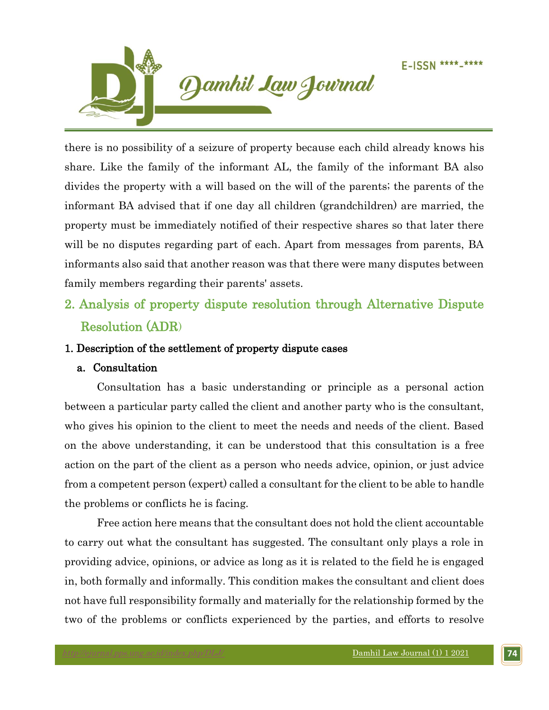

there is no possibility of a seizure of property because each child already knows his share. Like the family of the informant AL, the family of the informant BA also divides the property with a will based on the will of the parents; the parents of the informant BA advised that if one day all children (grandchildren) are married, the property must be immediately notified of their respective shares so that later there will be no disputes regarding part of each. Apart from messages from parents, BA informants also said that another reason was that there were many disputes between family members regarding their parents' assets.

2. Analysis of property dispute resolution through Alternative Dispute Resolution (ADR)

## 1. Description of the settlement of property dispute cases

## a. Consultation

 Consultation has a basic understanding or principle as a personal action between a particular party called the client and another party who is the consultant, who gives his opinion to the client to meet the needs and needs of the client. Based on the above understanding, it can be understood that this consultation is a free action on the part of the client as a person who needs advice, opinion, or just advice from a competent person (expert) called a consultant for the client to be able to handle the problems or conflicts he is facing.

Free action here means that the consultant does not hold the client accountable to carry out what the consultant has suggested. The consultant only plays a role in providing advice, opinions, or advice as long as it is related to the field he is engaged in, both formally and informally. This condition makes the consultant and client does not have full responsibility formally and materially for the relationship formed by the two of the problems or conflicts experienced by the parties, and efforts to resolve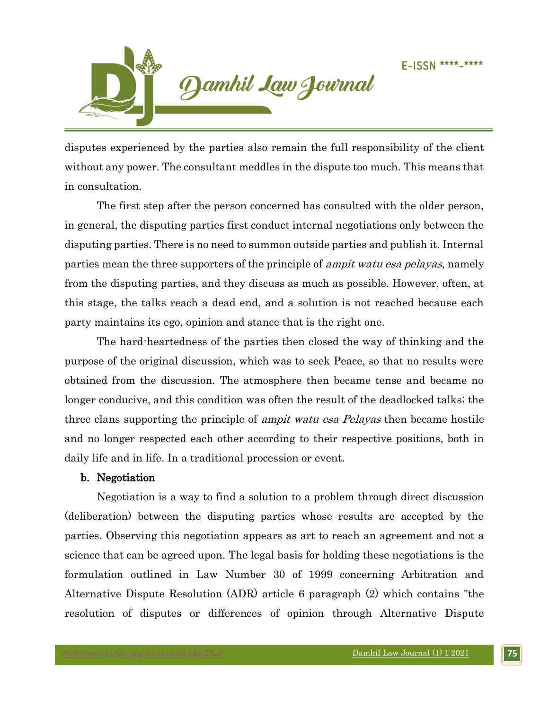

disputes experienced by the parties also remain the full responsibility of the client without any power. The consultant meddles in the dispute too much. This means that in consultation.

The first step after the person concerned has consulted with the older person, in general, the disputing parties first conduct internal negotiations only between the disputing parties. There is no need to summon outside parties and publish it. Internal parties mean the three supporters of the principle of *ampit watu esa pelayas*, namely from the disputing parties, and they discuss as much as possible. However, often, at this stage, the talks reach a dead end, and a solution is not reached because each party maintains its ego, opinion and stance that is the right one.

The hard-heartedness of the parties then closed the way of thinking and the purpose of the original discussion, which was to seek Peace, so that no results were obtained from the discussion. The atmosphere then became tense and became no longer conducive, and this condition was often the result of the deadlocked talks; the three clans supporting the principle of *ampit watu esa Pelayas* then became hostile and no longer respected each other according to their respective positions, both in daily life and in life. In a traditional procession or event.

#### b. Negotiation

 Negotiation is a way to find a solution to a problem through direct discussion (deliberation) between the disputing parties whose results are accepted by the parties. Observing this negotiation appears as art to reach an agreement and not a science that can be agreed upon. The legal basis for holding these negotiations is the formulation outlined in Law Number 30 of 1999 concerning Arbitration and Alternative Dispute Resolution (ADR) article 6 paragraph (2) which contains "the resolution of disputes or differences of opinion through Alternative Dispute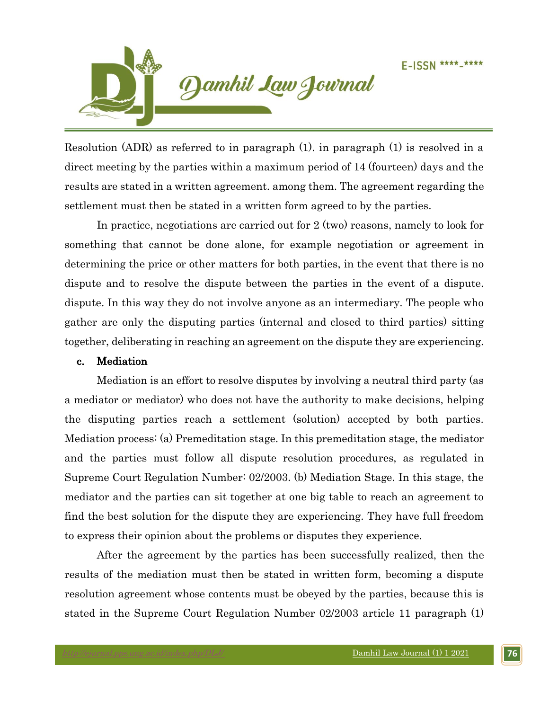

Resolution (ADR) as referred to in paragraph (1). in paragraph (1) is resolved in a direct meeting by the parties within a maximum period of 14 (fourteen) days and the results are stated in a written agreement. among them. The agreement regarding the settlement must then be stated in a written form agreed to by the parties.

In practice, negotiations are carried out for 2 (two) reasons, namely to look for something that cannot be done alone, for example negotiation or agreement in determining the price or other matters for both parties, in the event that there is no dispute and to resolve the dispute between the parties in the event of a dispute. dispute. In this way they do not involve anyone as an intermediary. The people who gather are only the disputing parties (internal and closed to third parties) sitting together, deliberating in reaching an agreement on the dispute they are experiencing.

#### c. Mediation

 Mediation is an effort to resolve disputes by involving a neutral third party (as a mediator or mediator) who does not have the authority to make decisions, helping the disputing parties reach a settlement (solution) accepted by both parties. Mediation process: (a) Premeditation stage. In this premeditation stage, the mediator and the parties must follow all dispute resolution procedures, as regulated in Supreme Court Regulation Number: 02/2003. (b) Mediation Stage. In this stage, the mediator and the parties can sit together at one big table to reach an agreement to find the best solution for the dispute they are experiencing. They have full freedom to express their opinion about the problems or disputes they experience.

After the agreement by the parties has been successfully realized, then the results of the mediation must then be stated in written form, becoming a dispute resolution agreement whose contents must be obeyed by the parties, because this is stated in the Supreme Court Regulation Number 02/2003 article 11 paragraph (1)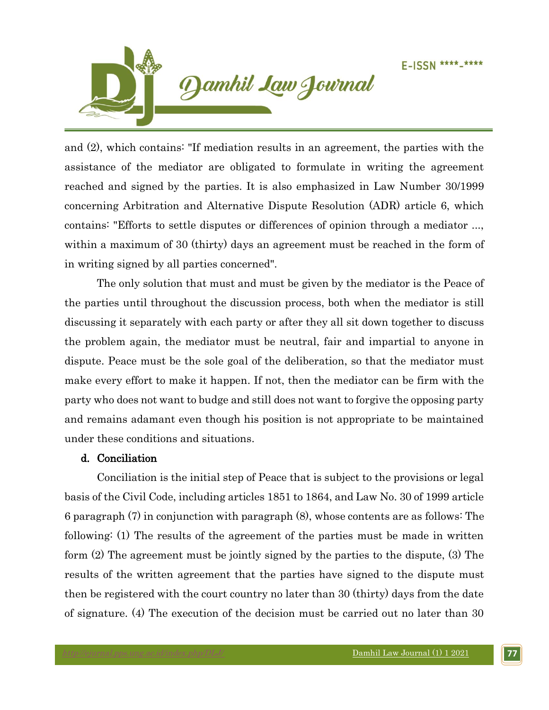

and (2), which contains: "If mediation results in an agreement, the parties with the assistance of the mediator are obligated to formulate in writing the agreement reached and signed by the parties. It is also emphasized in Law Number 30/1999 concerning Arbitration and Alternative Dispute Resolution (ADR) article 6, which contains: "Efforts to settle disputes or differences of opinion through a mediator ..., within a maximum of 30 (thirty) days an agreement must be reached in the form of in writing signed by all parties concerned".

The only solution that must and must be given by the mediator is the Peace of the parties until throughout the discussion process, both when the mediator is still discussing it separately with each party or after they all sit down together to discuss the problem again, the mediator must be neutral, fair and impartial to anyone in dispute. Peace must be the sole goal of the deliberation, so that the mediator must make every effort to make it happen. If not, then the mediator can be firm with the party who does not want to budge and still does not want to forgive the opposing party and remains adamant even though his position is not appropriate to be maintained under these conditions and situations.

## d. Conciliation

 Conciliation is the initial step of Peace that is subject to the provisions or legal basis of the Civil Code, including articles 1851 to 1864, and Law No. 30 of 1999 article 6 paragraph (7) in conjunction with paragraph (8), whose contents are as follows: The following: (1) The results of the agreement of the parties must be made in written form (2) The agreement must be jointly signed by the parties to the dispute, (3) The results of the written agreement that the parties have signed to the dispute must then be registered with the court country no later than 30 (thirty) days from the date of signature. (4) The execution of the decision must be carried out no later than 30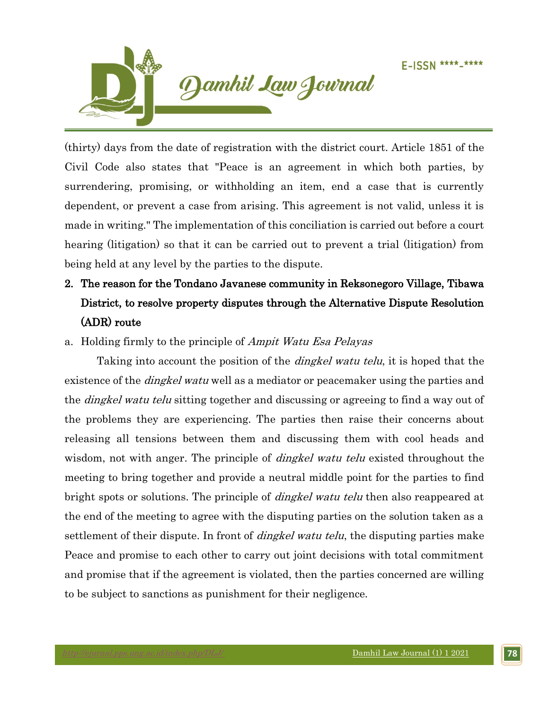

(thirty) days from the date of registration with the district court. Article 1851 of the Civil Code also states that "Peace is an agreement in which both parties, by surrendering, promising, or withholding an item, end a case that is currently dependent, or prevent a case from arising. This agreement is not valid, unless it is made in writing." The implementation of this conciliation is carried out before a court hearing (litigation) so that it can be carried out to prevent a trial (litigation) from being held at any level by the parties to the dispute.

# 2. The reason for the Tondano Javanese community in Reksonegoro Village, Tibawa District, to resolve property disputes through the Alternative Dispute Resolution (ADR) route

## a. Holding firmly to the principle of *Ampit Watu Esa Pelayas*

Taking into account the position of the *dingkel watu telu*, it is hoped that the existence of the *dingkel watu* well as a mediator or peacemaker using the parties and the *dingkel watu telu* sitting together and discussing or agreeing to find a way out of the problems they are experiencing. The parties then raise their concerns about releasing all tensions between them and discussing them with cool heads and wisdom, not with anger. The principle of *dingkel watu telu* existed throughout the meeting to bring together and provide a neutral middle point for the parties to find bright spots or solutions. The principle of *dingkel watu telu* then also reappeared at the end of the meeting to agree with the disputing parties on the solution taken as a settlement of their dispute. In front of *dingkel watu telu*, the disputing parties make Peace and promise to each other to carry out joint decisions with total commitment and promise that if the agreement is violated, then the parties concerned are willing to be subject to sanctions as punishment for their negligence.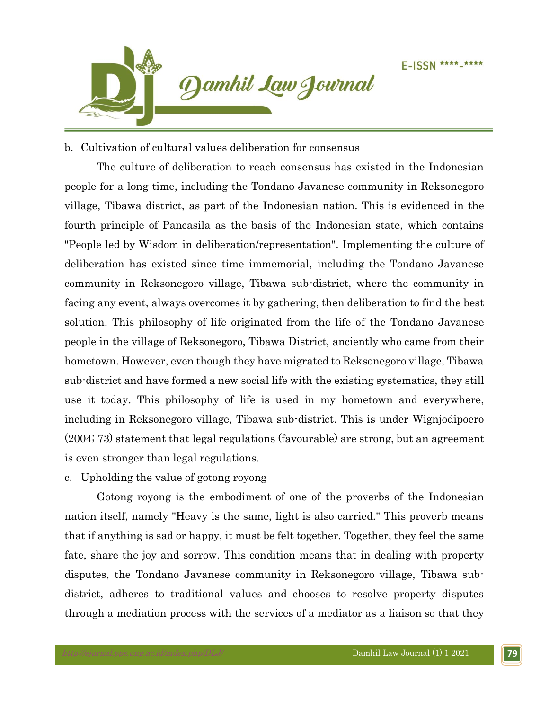

## b. Cultivation of cultural values deliberation for consensus

The culture of deliberation to reach consensus has existed in the Indonesian people for a long time, including the Tondano Javanese community in Reksonegoro village, Tibawa district, as part of the Indonesian nation. This is evidenced in the fourth principle of Pancasila as the basis of the Indonesian state, which contains "People led by Wisdom in deliberation/representation". Implementing the culture of deliberation has existed since time immemorial, including the Tondano Javanese community in Reksonegoro village, Tibawa sub-district, where the community in facing any event, always overcomes it by gathering, then deliberation to find the best solution. This philosophy of life originated from the life of the Tondano Javanese people in the village of Reksonegoro, Tibawa District, anciently who came from their hometown. However, even though they have migrated to Reksonegoro village, Tibawa sub-district and have formed a new social life with the existing systematics, they still use it today. This philosophy of life is used in my hometown and everywhere, including in Reksonegoro village, Tibawa sub-district. This is under Wignjodipoero (2004; 73) statement that legal regulations (favourable) are strong, but an agreement is even stronger than legal regulations.

## c. Upholding the value of gotong royong

Gotong royong is the embodiment of one of the proverbs of the Indonesian nation itself, namely "Heavy is the same, light is also carried." This proverb means that if anything is sad or happy, it must be felt together. Together, they feel the same fate, share the joy and sorrow. This condition means that in dealing with property disputes, the Tondano Javanese community in Reksonegoro village, Tibawa subdistrict, adheres to traditional values and chooses to resolve property disputes through a mediation process with the services of a mediator as a liaison so that they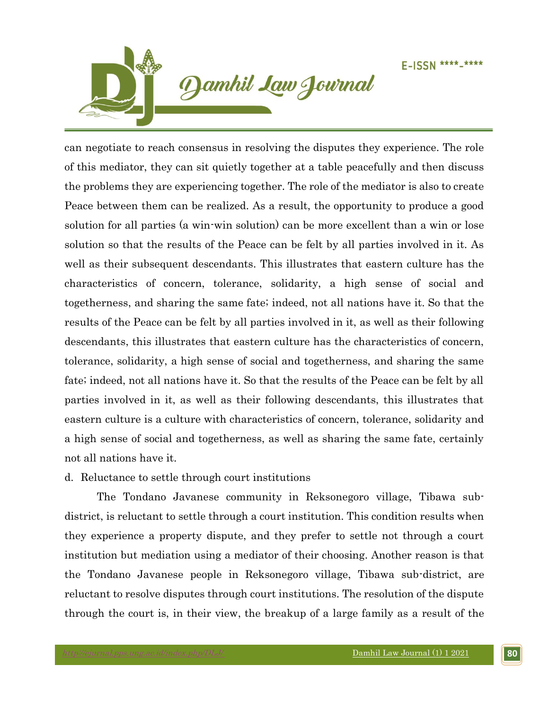

can negotiate to reach consensus in resolving the disputes they experience. The role of this mediator, they can sit quietly together at a table peacefully and then discuss the problems they are experiencing together. The role of the mediator is also to create Peace between them can be realized. As a result, the opportunity to produce a good solution for all parties (a win-win solution) can be more excellent than a win or lose solution so that the results of the Peace can be felt by all parties involved in it. As well as their subsequent descendants. This illustrates that eastern culture has the characteristics of concern, tolerance, solidarity, a high sense of social and togetherness, and sharing the same fate; indeed, not all nations have it. So that the results of the Peace can be felt by all parties involved in it, as well as their following descendants, this illustrates that eastern culture has the characteristics of concern, tolerance, solidarity, a high sense of social and togetherness, and sharing the same fate; indeed, not all nations have it. So that the results of the Peace can be felt by all parties involved in it, as well as their following descendants, this illustrates that eastern culture is a culture with characteristics of concern, tolerance, solidarity and a high sense of social and togetherness, as well as sharing the same fate, certainly not all nations have it.

## d. Reluctance to settle through court institutions

The Tondano Javanese community in Reksonegoro village, Tibawa subdistrict, is reluctant to settle through a court institution. This condition results when they experience a property dispute, and they prefer to settle not through a court institution but mediation using a mediator of their choosing. Another reason is that the Tondano Javanese people in Reksonegoro village, Tibawa sub-district, are reluctant to resolve disputes through court institutions. The resolution of the dispute through the court is, in their view, the breakup of a large family as a result of the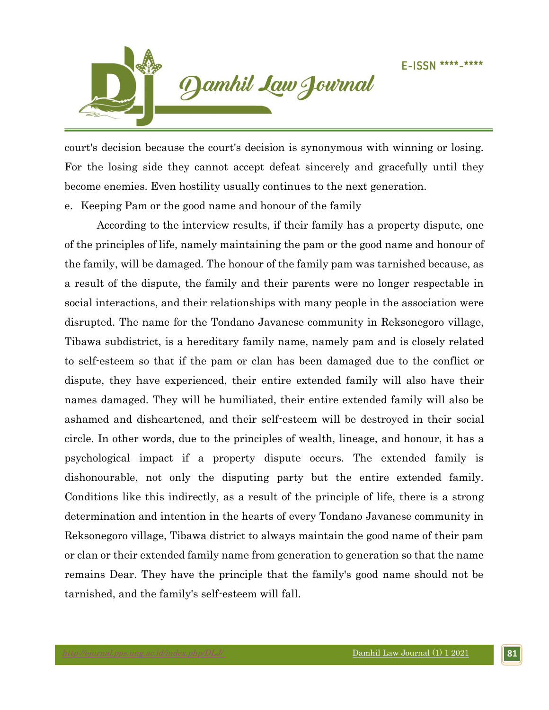

court's decision because the court's decision is synonymous with winning or losing. For the losing side they cannot accept defeat sincerely and gracefully until they become enemies. Even hostility usually continues to the next generation.

e. Keeping Pam or the good name and honour of the family

According to the interview results, if their family has a property dispute, one of the principles of life, namely maintaining the pam or the good name and honour of the family, will be damaged. The honour of the family pam was tarnished because, as a result of the dispute, the family and their parents were no longer respectable in social interactions, and their relationships with many people in the association were disrupted. The name for the Tondano Javanese community in Reksonegoro village, Tibawa subdistrict, is a hereditary family name, namely pam and is closely related to self-esteem so that if the pam or clan has been damaged due to the conflict or dispute, they have experienced, their entire extended family will also have their names damaged. They will be humiliated, their entire extended family will also be ashamed and disheartened, and their self-esteem will be destroyed in their social circle. In other words, due to the principles of wealth, lineage, and honour, it has a psychological impact if a property dispute occurs. The extended family is dishonourable, not only the disputing party but the entire extended family. Conditions like this indirectly, as a result of the principle of life, there is a strong determination and intention in the hearts of every Tondano Javanese community in Reksonegoro village, Tibawa district to always maintain the good name of their pam or clan or their extended family name from generation to generation so that the name remains Dear. They have the principle that the family's good name should not be tarnished, and the family's self-esteem will fall.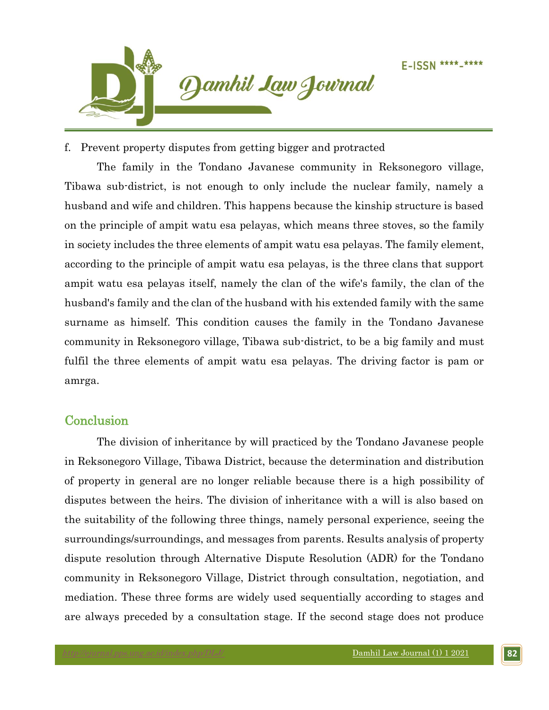

f. Prevent property disputes from getting bigger and protracted

The family in the Tondano Javanese community in Reksonegoro village, Tibawa sub-district, is not enough to only include the nuclear family, namely a husband and wife and children. This happens because the kinship structure is based on the principle of ampit watu esa pelayas, which means three stoves, so the family in society includes the three elements of ampit watu esa pelayas. The family element, according to the principle of ampit watu esa pelayas, is the three clans that support ampit watu esa pelayas itself, namely the clan of the wife's family, the clan of the husband's family and the clan of the husband with his extended family with the same surname as himself. This condition causes the family in the Tondano Javanese community in Reksonegoro village, Tibawa sub-district, to be a big family and must fulfil the three elements of ampit watu esa pelayas. The driving factor is pam or amrga.

## **Conclusion**

The division of inheritance by will practiced by the Tondano Javanese people in Reksonegoro Village, Tibawa District, because the determination and distribution of property in general are no longer reliable because there is a high possibility of disputes between the heirs. The division of inheritance with a will is also based on the suitability of the following three things, namely personal experience, seeing the surroundings/surroundings, and messages from parents. Results analysis of property dispute resolution through Alternative Dispute Resolution (ADR) for the Tondano community in Reksonegoro Village, District through consultation, negotiation, and mediation. These three forms are widely used sequentially according to stages and are always preceded by a consultation stage. If the second stage does not produce